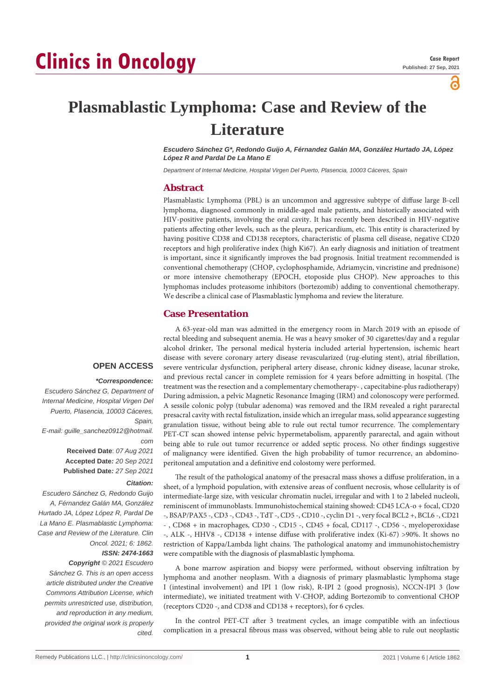്

# **Plasmablastic Lymphoma: Case and Review of the Literature**

*Escudero Sánchez G\*, Redondo Guijo A, Férnandez Galán MA, González Hurtado JA, López López R and Pardal De La Mano E*

*Department of Internal Medicine, Hospital Virgen Del Puerto, Plasencia, 10003 Cáceres, Spain*

# **Abstract**

Plasmablastic Lymphoma (PBL) is an uncommon and aggressive subtype of diffuse large B-cell lymphoma, diagnosed commonly in middle-aged male patients, and historically associated with HIV-positive patients, involving the oral cavity. It has recently been described in HIV-negative patients affecting other levels, such as the pleura, pericardium, etc. This entity is characterized by having positive CD38 and CD138 receptors, characteristic of plasma cell disease, negative CD20 receptors and high proliferative index (high Ki67). An early diagnosis and initiation of treatment is important, since it significantly improves the bad prognosis. Initial treatment recommended is conventional chemotherapy (CHOP, cyclophosphamide, Adriamycin, vincristine and prednisone) or more intensive chemotherapy (EPOCH, etoposide plus CHOP). New approaches to this lymphomas includes proteasome inhibitors (bortezomib) adding to conventional chemotherapy. We describe a clinical case of Plasmablastic lymphoma and review the literature.

## **Case Presentation**

#### **OPEN ACCESS**

#### *\*Correspondence:*

*Escudero Sánchez G, Department of Internal Medicine, Hospital Virgen Del Puerto, Plasencia, 10003 Cáceres, Spain, E-mail: guille\_sanchez0912@hotmail. com* **Received Date**: *07 Aug 2021* **Accepted Date***: 20 Sep 2021* **Published Date***: 27 Sep 2021 Citation:* 

*Escudero Sánchez G, Redondo Guijo A, Férnandez Galán MA, González Hurtado JA, López López R, Pardal De La Mano E. Plasmablastic Lymphoma: Case and Review of the Literature. Clin Oncol. 2021; 6: 1862.*

# *ISSN: 2474-1663*

*Copyright © 2021 Escudero Sánchez G. This is an open access article distributed under the Creative Commons Attribution License, which permits unrestricted use, distribution, and reproduction in any medium, provided the original work is properly cited.*

A 63-year-old man was admitted in the emergency room in March 2019 with an episode of rectal bleeding and subsequent anemia. He was a heavy smoker of 30 cigarettes/day and a regular alcohol drinker, The personal medical hysteria included arterial hypertension, ischemic heart disease with severe coronary artery disease revascularized (rug-eluting stent), atrial fibrillation, severe ventricular dysfunction, peripheral artery disease, chronic kidney disease, lacunar stroke, and previous rectal cancer in complete remission for 4 years before admitting in hospital. (The treatment was the resection and a complementary chemotherapy- , capecitabine-plus radiotherapy) During admission, a pelvic Magnetic Resonance Imaging (IRM) and colonoscopy were performed. A sessile colonic polyp (tubular adenoma) was removed and the IRM revealed a right pararectal presacral cavity with rectal fistulization, inside which an irregular mass, solid appearance suggesting granulation tissue, without being able to rule out rectal tumor recurrence. The complementary PET-CT scan showed intense pelvic hypermetabolism, apparently pararectal, and again without being able to rule out tumor recurrence or added septic process. No other findings suggestive of malignancy were identified. Given the high probability of tumor recurrence, an abdominoperitoneal amputation and a definitive end colostomy were performed.

The result of the pathological anatomy of the presacral mass shows a diffuse proliferation, in a sheet, of a lymphoid population, with extensive areas of confluent necrosis, whose cellularity is of intermediate-large size, with vesicular chromatin nuclei, irregular and with 1 to 2 labeled nucleoli, reminiscent of immunoblasts. Immunohistochemical staining showed: CD45 LCA-o + focal, CD20 -, BSAP/PAX5 -, CD3 -, CD43 -, TdT -, CD5 -, CD10 -, cyclin D1 -, very focal BCL2 +, BCL6 -, CD21 - , CD68 + in macrophages, CD30 -, CD15 -, CD45 + focal, CD117 -, CD56 -, myeloperoxidase -, ALK -, HHV8 -, CD138 + intense diffuse with proliferative index (Ki-67) >90%. It shows no restriction of Kappa/Lambda light chains. The pathological anatomy and immunohistochemistry were compatible with the diagnosis of plasmablastic lymphoma.

A bone marrow aspiration and biopsy were performed, without observing infiltration by lymphoma and another neoplasm. With a diagnosis of primary plasmablastic lymphoma stage I (intestinal involvement) and IPI 1 (low risk), R-IPI 2 (good prognosis), NCCN-IPI 3 (low intermediate), we initiated treatment with V-CHOP, adding Bortezomib to conventional CHOP (receptors CD20 -, and CD38 and CD138 + receptors), for 6 cycles.

In the control PET-CT after 3 treatment cycles, an image compatible with an infectious complication in a presacral fibrous mass was observed, without being able to rule out neoplastic